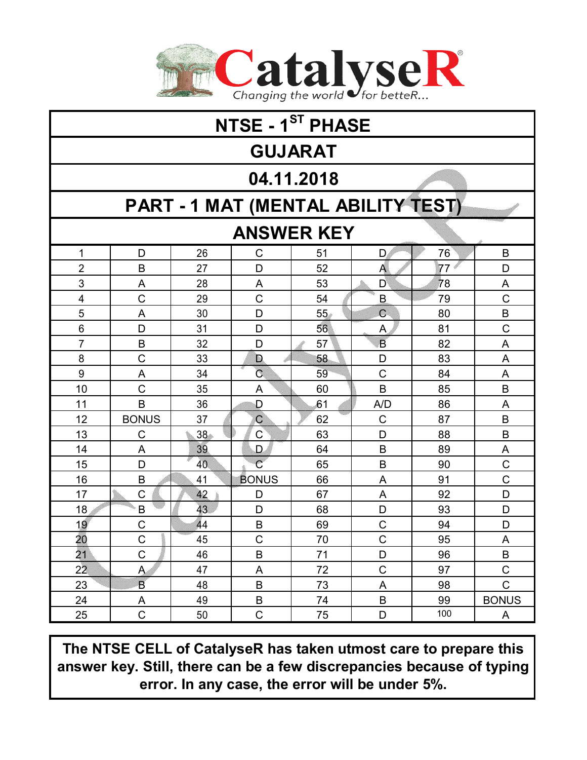

| NTSE - 1 <sup>ST</sup> PHASE       |                |    |                    |    |                |     |                |  |  |  |  |
|------------------------------------|----------------|----|--------------------|----|----------------|-----|----------------|--|--|--|--|
| <b>GUJARAT</b>                     |                |    |                    |    |                |     |                |  |  |  |  |
| 04.11.2018                         |                |    |                    |    |                |     |                |  |  |  |  |
| PART - 1 MAT (MENTAL ABILITY TEST) |                |    |                    |    |                |     |                |  |  |  |  |
| <b>ANSWER KEY</b>                  |                |    |                    |    |                |     |                |  |  |  |  |
| 1                                  | D              | 26 | C                  | 51 | D,             | 76  | B              |  |  |  |  |
| $\overline{2}$                     | B              | 27 | D                  | 52 | A              | 77  | D              |  |  |  |  |
| 3                                  | A              | 28 | A                  | 53 | D              | 78  | A              |  |  |  |  |
| $\overline{4}$                     | $\mathsf C$    | 29 | $\overline{C}$     | 54 | B              | 79  | $\mathsf C$    |  |  |  |  |
| 5                                  | A              | 30 | D                  | 55 | $\overline{C}$ | 80  | B              |  |  |  |  |
| $6\phantom{1}$                     | D              | 31 | D                  | 56 | $\mathsf{A}$   | 81  | $\mathsf C$    |  |  |  |  |
| $\overline{7}$                     | B              | 32 | D                  | 57 | B              | 82  | A              |  |  |  |  |
| 8                                  | $\overline{C}$ | 33 | D                  | 58 | D              | 83  | A              |  |  |  |  |
| 9                                  | A              | 34 | $\overline{C}$     | 59 | $\mathsf C$    | 84  | A              |  |  |  |  |
| 10                                 | $\mathsf C$    | 35 | A                  | 60 | B              | 85  | B              |  |  |  |  |
| 11                                 | B              | 36 | D                  | 61 | A/D            | 86  | A              |  |  |  |  |
| 12                                 | <b>BONUS</b>   | 37 | $\mathsf C$        | 62 | $\mathsf C$    | 87  | B              |  |  |  |  |
| 13                                 | $\mathsf C$    | 38 | $\overline{C}$     | 63 | D              | 88  | B              |  |  |  |  |
| 14                                 | A              | 39 | D                  | 64 | B              | 89  | A              |  |  |  |  |
| 15                                 | D              | 40 | $\overline{\rm c}$ | 65 | B              | 90  | $\overline{C}$ |  |  |  |  |
| 16                                 | B              | 41 | <b>BONUS</b>       | 66 | A              | 91  | $\overline{C}$ |  |  |  |  |
| 17                                 | $\overline{C}$ | 42 | D                  | 67 | A              | 92  | D              |  |  |  |  |
| 18                                 | B              | 43 | D                  | 68 | D              | 93  | D              |  |  |  |  |
| 19                                 | $\mathsf C$    | 44 | B                  | 69 | $\mathsf C$    | 94  | D              |  |  |  |  |
| 20                                 | $\mathsf C$    | 45 | $\mathsf C$        | 70 | $\mathsf C$    | 95  | A              |  |  |  |  |
| 21                                 | C              | 46 | B                  | 71 | $\mathsf D$    | 96  | $\sf B$        |  |  |  |  |
| 22                                 | Ą              | 47 | A                  | 72 | $\mathsf C$    | 97  | $\mathsf C$    |  |  |  |  |
| 23                                 | B              | 48 | B                  | 73 | A              | 98  | $\overline{C}$ |  |  |  |  |
| 24                                 | A              | 49 | B                  | 74 | $\mathsf B$    | 99  | <b>BONUS</b>   |  |  |  |  |
| 25                                 | $\mathsf C$    | 50 | $\mathsf C$        | 75 | D              | 100 | A              |  |  |  |  |

The NTSE CELL of CatalyseR has taken utmost care to prepare this answer key. Still, there can be a few discrepancies because of typing error. In any case, the error will be under 5%.